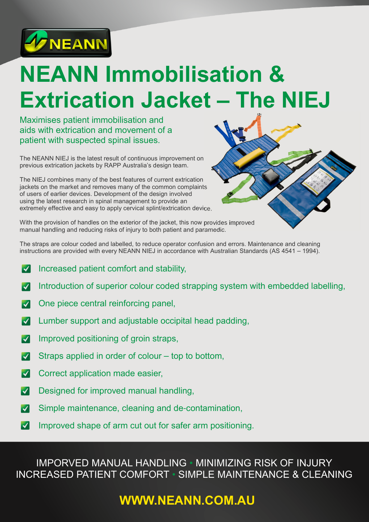

# **NEANN Immobilisation & Extrication Jacket – The NIEJ**

Maximises patient immobilisation and aids with extrication and movement of a patient with suspected spinal issues.

The NEANN NIEJ is the latest result of continuous improvement on previous extrication jackets by RAPP Australia's design team.

The NIEJ combines many of the best features of current extrication jackets on the market and removes many of the common complaints of users of earlier devices. Development of the design involved using the latest research in spinal management to provide an extremely effective and easy to apply cervical splint/extrication device.

With the provision of handles on the exterior of the jacket, this now provides improved manual handling and reducing risks of injury to both patient and paramedic.

The straps are colour coded and labelled, to reduce operator confusion and errors. Maintenance and cleaning instructions are provided with every NEANN NIEJ in accordance with Australian Standards (AS 4541 – 1994).

- V Increased patient comfort and stability,
- Introduction of superior colour coded strapping system with embedded labelling,  $\boldsymbol{\mathcal{U}}$
- One piece central reinforcing panel,  $|\boldsymbol{\mathcal{J}}|$
- $\boldsymbol{\mathcal{A}}$ Lumber support and adjustable occipital head padding,
- Improved positioning of groin straps,  $\boldsymbol{\mathcal{U}}$
- $\boldsymbol{\mathcal{U}}$ Straps applied in order of colour – top to bottom,
- $\blacktriangleright$ Correct application made easier,
- Designed for improved manual handling,  $\overline{\mathcal{A}}$
- $\blacktriangleright$ Simple maintenance, cleaning and de-contamination,
- Improved shape of arm cut out for safer arm positioning. $\blacktriangleright$

#### IMPORVED MANUAL HANDLING • MINIMIZING RISK OF INJURY INCREASED PATIENT COMFORT • SIMPLE MAINTENANCE & CLEANING

## **WWW.NEANN.COM.AU**